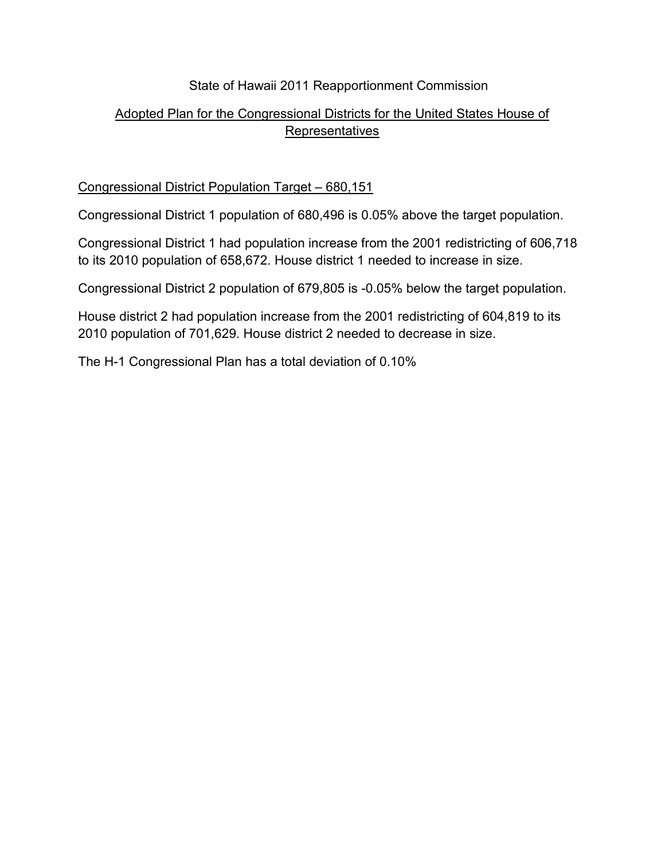## State of Hawaii 2011 Reapportionment Commission

## Adopted Plan for the Congressional Districts for the United States House of Representatives

## Congressional District Population Target – 680,151

Congressional District 1 population of 680,496 is 0.05% above the target population.

Congressional District 1 had population increase from the 2001 redistricting of 606,718 to its 2010 population of 658,672. House district 1 needed to increase in size.

Congressional District 2 population of 679,805 is -0.05% below the target population.

House district 2 had population increase from the 2001 redistricting of 604,819 to its 2010 population of 701,629. House district 2 needed to decrease in size.

The H-1 Congressional Plan has a total deviation of 0.10%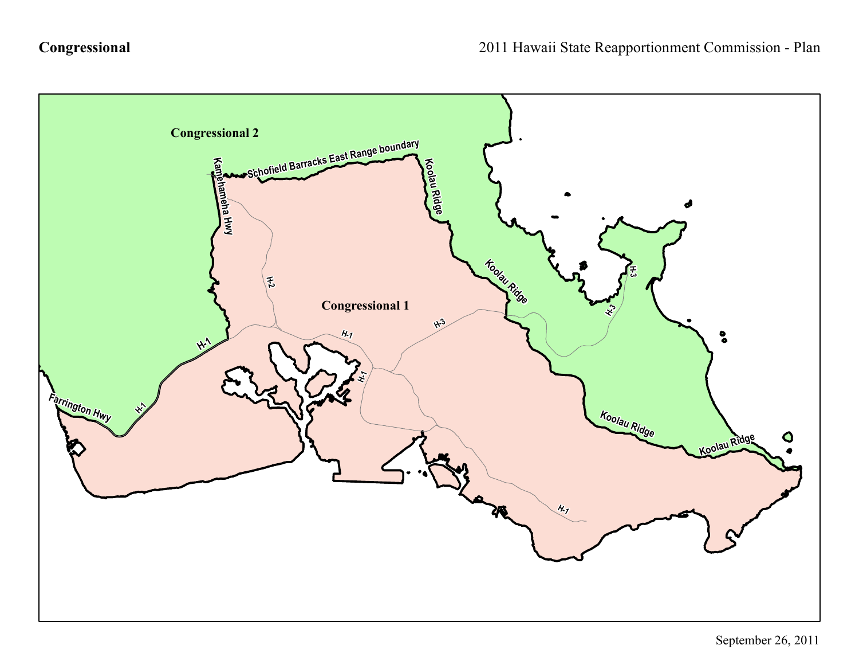